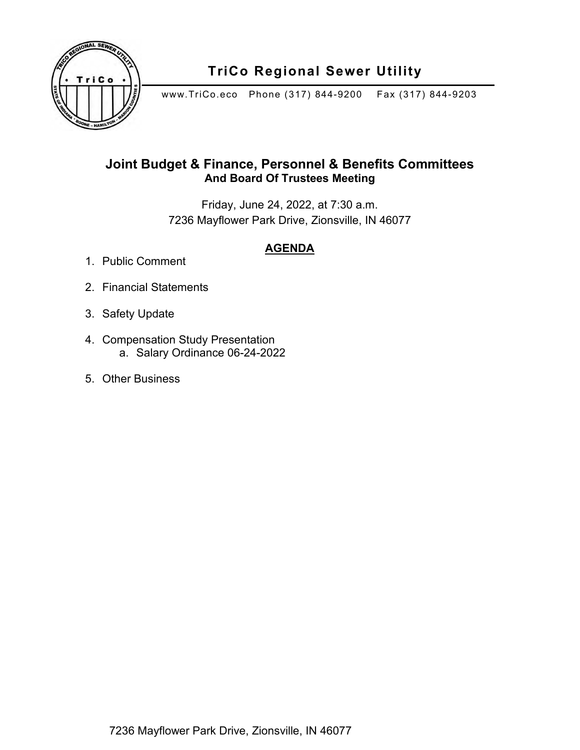

## **TriCo Regional Sewer Utility**

www.TriCo.eco Phone (317) 844-9200 Fax (317) 844-9203

## **Joint Budget & Finance, Personnel & Benefits Committees And Board Of Trustees Meeting**

Friday, June 24, 2022, at 7:30 a.m. 7236 Mayflower Park Drive, Zionsville, IN 46077

## **AGENDA**

- 1. Public Comment
- 2. Financial Statements
- 3. Safety Update
- 4. Compensation Study Presentation a. Salary Ordinance 06-24-2022
- 5. Other Business